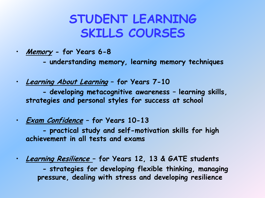### **STUDENT LEARNING SKILLS COURSES**

- **Memory - for Years 6-8**
	- **- understanding memory, learning memory techniques**
- **Learning About Learning – for Years 7-10 - developing metacognitive awareness – learning skills, strategies and personal styles for success at school**
- **Exam Confidence – for Years 10-13**

**- practical study and self-motivation skills for high achievement in all tests and exams**

• **Learning Resilience – for Years 12, 13 & GATE students**

**- strategies for developing flexible thinking, managing pressure, dealing with stress and developing resilience**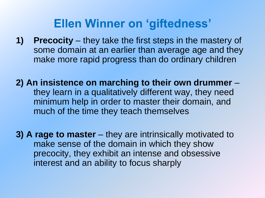#### **Ellen Winner on 'giftedness'**

- **1) Precocity** they take the first steps in the mastery of some domain at an earlier than average age and they make more rapid progress than do ordinary children
- **2) An insistence on marching to their own drummer** they learn in a qualitatively different way, they need minimum help in order to master their domain, and much of the time they teach themselves
- **3) A rage to master** they are intrinsically motivated to make sense of the domain in which they show precocity, they exhibit an intense and obsessive interest and an ability to focus sharply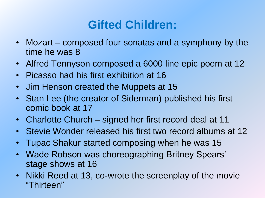### **Gifted Children:**

- Mozart composed four sonatas and a symphony by the time he was 8
- Alfred Tennyson composed a 6000 line epic poem at 12
- Picasso had his first exhibition at 16
- Jim Henson created the Muppets at 15
- Stan Lee (the creator of Siderman) published his first comic book at 17
- Charlotte Church signed her first record deal at 11
- Stevie Wonder released his first two record albums at 12
- Tupac Shakur started composing when he was 15
- Wade Robson was choreographing Britney Spears' stage shows at 16
- Nikki Reed at 13, co-wrote the screenplay of the movie "Thirteen"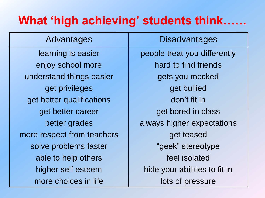### **What 'high achieving' students think……**

| Advantages                 | <b>Disadvantages</b>          |
|----------------------------|-------------------------------|
| learning is easier         | people treat you differently  |
| enjoy school more          | hard to find friends          |
| understand things easier   | gets you mocked               |
| get privileges             | get bullied                   |
| get better qualifications  | don't fit in                  |
| get better career          | get bored in class            |
| better grades              | always higher expectations    |
| more respect from teachers | get teased                    |
| solve problems faster      | "geek" stereotype             |
| able to help others        | feel isolated                 |
| higher self esteem         | hide your abilities to fit in |
| more choices in life       | lots of pressure              |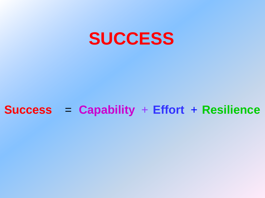

#### **Success** = **Capability** + **Effort** + **Resilience**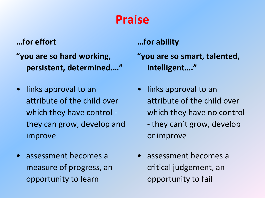### **Praise**

#### **…for effort**

- **"you are so hard working, persistent, determined.…"**
- links approval to an attribute of the child over which they have control they can grow, develop and improve
- assessment becomes a measure of progress, an opportunity to learn

#### **…for ability**

- **"you are so smart, talented, intelligent…."**
- links approval to an attribute of the child over which they have no control - they can't grow, develop or improve
- assessment becomes a critical judgement, an opportunity to fail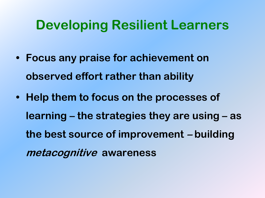### **Developing Resilient Learners**

- **• Focus any praise for achievement on observed effort rather than ability**
- **• Help them to focus on the processes of learning – the strategies they are using – as the best source of improvement – building metacognitive awareness**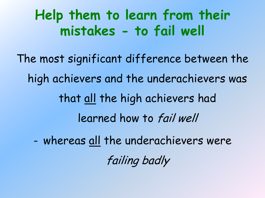**Help them to learn from their mistakes - to fail well**

The most significant difference between the high achievers and the underachievers was that all the high achievers had learned how to fail well

- whereas all the underachievers were

failing badly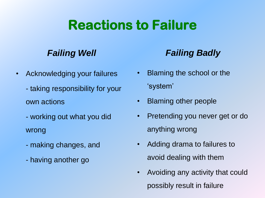## **Reactions to Failure**

#### *Failing Well*

- Acknowledging your failures
	- taking responsibility for your own actions
	- working out what you did wrong
	- making changes, and
	- having another go

#### *Failing Badly*

- Blaming the school or the 'system'
- Blaming other people
- Pretending you never get or do anything wrong
- Adding drama to failures to avoid dealing with them
- Avoiding any activity that could possibly result in failure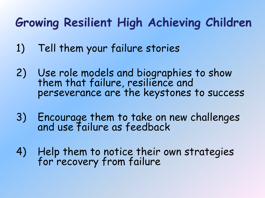### **Growing Resilient High Achieving Children**

- 1) Tell them your failure stories
- 2) Use role models and biographies to show them that failure, resilience and perseverance are the keystones to success
- 3) Encourage them to take on new challenges and use failure as feedback
- 4) Help them to notice their own strategies for recovery from failure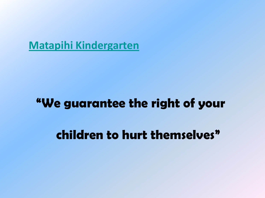**[Matapihi Kindergarten](https://picasaweb.google.com/103427438750457054047/Matapihi2011)**

#### "We guarantee the right of your

children to hurt themselves"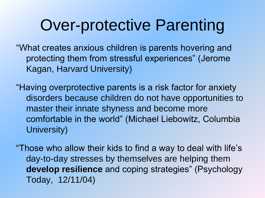# Over-protective Parenting

"What creates anxious children is parents hovering and protecting them from stressful experiences" (Jerome Kagan, Harvard University)

"Having overprotective parents is a risk factor for anxiety disorders because children do not have opportunities to master their innate shyness and become more comfortable in the world" (Michael Liebowitz, Columbia University)

"Those who allow their kids to find a way to deal with life's day-to-day stresses by themselves are helping them **develop resilience** and coping strategies" (Psychology Today, 12/11/04)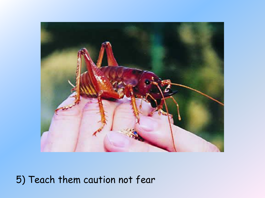

5) Teach them caution not fear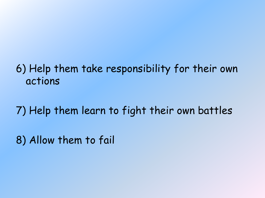#### 6) Help them take responsibility for their own actions

7) Help them learn to fight their own battles

8) Allow them to fail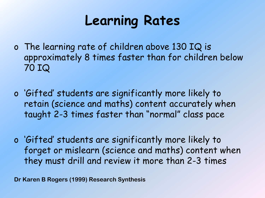# **Learning Rates**

- o The learning rate of children above 130 IQ is approximately 8 times faster than for children below 70 IQ
- o 'Gifted' students are significantly more likely to retain (science and maths) content accurately when taught 2-3 times faster than "normal" class pace
- o 'Gifted' students are significantly more likely to forget or mislearn (science and maths) content when they must drill and review it more than 2-3 times

**Dr Karen B Rogers (1999) Research Synthesis**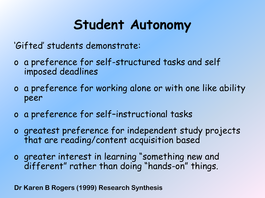# **Student Autonomy**

'Gifted' students demonstrate:

- o a preference for self-structured tasks and self imposed deadlines
- o a preference for working alone or with one like ability peer
- o a preference for self–instructional tasks
- o greatest preference for independent study projects that are reading/content acquisition based
- o greater interest in learning "something new and different" rather than doing "hands-on" things.

**Dr Karen B Rogers (1999) Research Synthesis**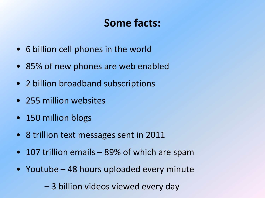#### **Some facts:**

- 6 billion cell phones in the world
- 85% of new phones are web enabled
- 2 billion broadband subscriptions
- 255 million websites
- 150 million blogs
- 8 trillion text messages sent in 2011
- 107 trillion emails 89% of which are spam
- Youtube 48 hours uploaded every minute
	- 3 billion videos viewed every day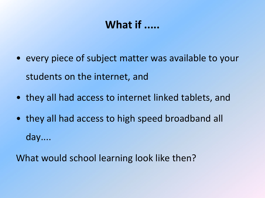#### **What if .....**

- every piece of subject matter was available to your students on the internet, and
- they all had access to internet linked tablets, and
- they all had access to high speed broadband all day....

What would school learning look like then?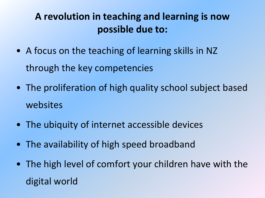#### **A revolution in teaching and learning is now possible due to:**

- A focus on the teaching of learning skills in NZ through the key competencies
- The proliferation of high quality school subject based websites
- The ubiquity of internet accessible devices
- The availability of high speed broadband
- The high level of comfort your children have with the digital world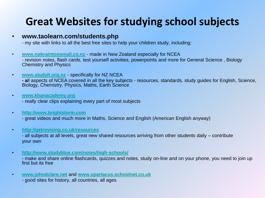#### **Great Websites for studying school subjects**

#### • **www.taolearn.com/students.php**

- my site with links to all the best free sites to help your children study, including:

- **[www.nobraintoosmall.co.nz](http://www.nobraintoosmall.co.nz/)** made in New Zealand especially for NCEA - revision notes, flash cards, test yourself activities, powerpoints and more for General Science , Biology Chemistry and Physics
- **[www.studyit.org.nz](http://www.studyit.org.nz/)** specifically for NZ NCEA

**- a**ll aspects of NCEA covered in all the key subjects - resources, standards, study guides for English, Science, Biology, Chemistry, Physics, Maths, Earth Science

• **[www.khanacademy.org](http://www.khanacademy.org/)**

- really clear clips explaining every part of most subjects

• **[http://www.brightstorm.com](http://www.brightstorm.com/)**

- great videos and much more in Maths, Science and English (American English anyway)

• **<http://getrevising.co.uk/resources>**

- all subjects at all levels, great new shared resources arriving from other students daily – contribute your own

• **<http://www.studyblue.com/notes/high-schools/>**

- make and share online flashcards, quizzes and notes, study on-line and on your phone, you need to join up first but its free

• **[www.johndclare.net](http://www.johndclare.net/)** and **[www.spartacus.schoolnet.co.uk](http://www.spartacus.schoolnet.co.uk/)**

- good sites for history, all countries, all ages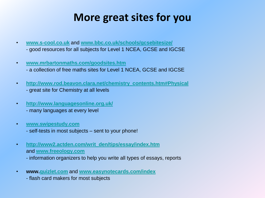#### **More great sites for you**

- **[www.s-cool.co.uk](http://www.s-cool.co.uk/)** and **[www.bbc.co.uk/schools/gcsebitesize/](http://www.bbc.co.uk/schools/gcsebitesize/)** - good resources for all subjects for Level 1 NCEA, GCSE and IGCSE
- **[www.mrbartonmaths.com/goodsites.htm](http://www.mrbartonmaths.com/goodsites.htm)**
	- a collection of free maths sites for Level 1 NCEA, GCSE and IGCSE
- **[http://www.rod.beavon.clara.net/chemistry\\_contents.htm#Physical](http://www.rod.beavon.clara.net/chemistry_contents.htm)** - great site for Chemistry at all levels
- **<http://www.languagesonline.org.uk/>**
	- many languages at every level
- **[www.swipestudy.com](http://www.swipestudy.com/)**
	- self-tests in most subjects sent to your phone!
- **[http://www2.actden.com/writ\\_den/tips/essay/index.htm](http://www2.actden.com/writ_den/tips/essay/index.htm)** and **[www.freeology.com](http://www.freeology.com/)** - information organizers to help you write all types of essays, reports
- **www.[quizlet.com](http://www.quizlet.com/)** and **[www.easynotecards.com/index](http://www.easynotecards.com/index)**
	- flash card makers for most subjects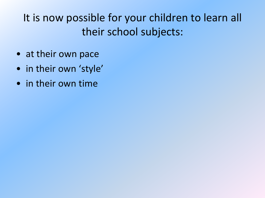### It is now possible for your children to learn all their school subjects:

- at their own pace
- in their own 'style'
- in their own time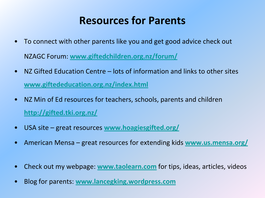#### **Resources for Parents**

- To connect with other parents like you and get good advice check out NZAGC Forum: **[www.giftedchildren.org.nz/forum/](http://www.giftedchildren.org.nz/forum/)**
- NZ Gifted Education Centre lots of information and links to other sites **[www.giftededucation.org.nz/index.html](http://www.giftededucation.org.nz/index.html)**
- NZ Min of Ed resources for teachers, schools, parents and children **<http://gifted.tki.org.nz/>**
- USA site great resources **[www.hoagiesgifted.org/](http://www.hoagiesgifted.org/)**
- American Mensa great resources for extending kids **[www.us.mensa.org/](http://www.us.mensa.org/)**
- Check out my webpage: **[www.taolearn.com](http://www.taolearn.com/)** for tips, ideas, articles, videos
- Blog for parents: **[www.lancegking.wordpress.com](http://www.lancegking.wordpress.com/)**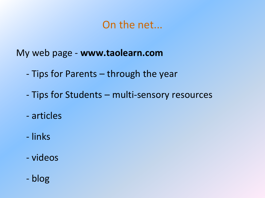#### On the net...

My web page - **www.taolearn.com**

- Tips for Parents through the year
- Tips for Students multi-sensory resources
- articles
- links
- videos
- blog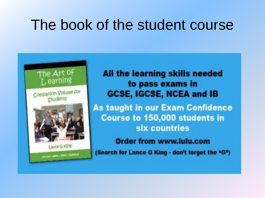## The book of the student course



All the learning skills needed to pass exams in **GCSE, IGCSE, NCEA and IB As taught in our Exam Confidence** Course to 150,000 students in six countries **Order from www.lulu.com** (Search for Lance G King - don't forget the "G")